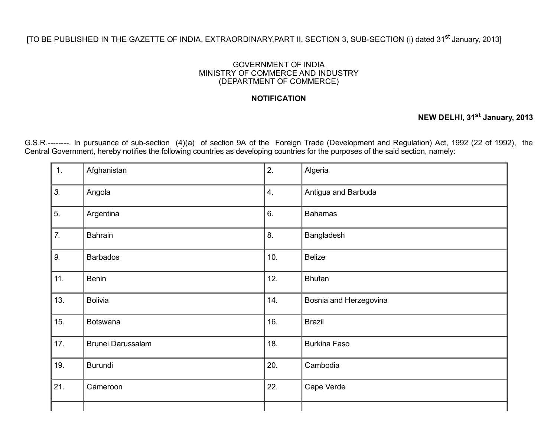## [TO BE PUBLISHED IN THE GAZETTE OF INDIA, EXTRAORDINARY,PART II, SECTION 3, SUB-SECTION (i) dated 31<sup>st</sup> January, 2013]

## GOVERNMENT OF INDIA MINISTRY OF COMMERCE AND INDUSTRY (DEPARTMENT OF COMMERCE)

## **NOTIFICATION**

## NEW DELHI, 31<sup>st</sup> January, 2013

G.S.R.--------. In pursuance of sub-section (4)(a) of section 9A of the Foreign Trade (Development and Regulation) Act, 1992 (22 of 1992), the Central Government, hereby notifies the following countries as developing countries for the purposes of the said section, namely:

| 1.  | Afghanistan       | 2.  | Algeria                |
|-----|-------------------|-----|------------------------|
| 3.  | Angola            | 4.  | Antigua and Barbuda    |
| 5.  | Argentina         | 6.  | <b>Bahamas</b>         |
| 7.  | Bahrain           | 8.  | Bangladesh             |
| 9.  | <b>Barbados</b>   | 10. | <b>Belize</b>          |
| 11. | <b>Benin</b>      | 12. | <b>Bhutan</b>          |
| 13. | <b>Bolivia</b>    | 14. | Bosnia and Herzegovina |
| 15. | Botswana          | 16. | <b>Brazil</b>          |
| 17. | Brunei Darussalam | 18. | <b>Burkina Faso</b>    |
| 19. | Burundi           | 20. | Cambodia               |
| 21. | Cameroon          | 22. | Cape Verde             |
|     |                   |     |                        |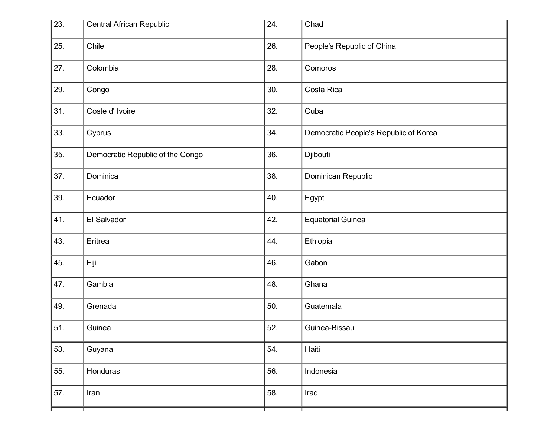| 23. | <b>Central African Republic</b>  | 24. | Chad                                  |
|-----|----------------------------------|-----|---------------------------------------|
| 25. | Chile                            | 26. | People's Republic of China            |
| 27. | Colombia                         | 28. | Comoros                               |
| 29. | Congo                            | 30. | Costa Rica                            |
| 31. | Coste d' Ivoire                  | 32. | Cuba                                  |
| 33. | Cyprus                           | 34. | Democratic People's Republic of Korea |
| 35. | Democratic Republic of the Congo | 36. | Djibouti                              |
| 37. | Dominica                         | 38. | Dominican Republic                    |
| 39. | Ecuador                          | 40. | Egypt                                 |
| 41. | El Salvador                      | 42. | <b>Equatorial Guinea</b>              |
| 43. | Eritrea                          | 44. | Ethiopia                              |
| 45. | Fiji                             | 46. | Gabon                                 |
| 47. | Gambia                           | 48. | Ghana                                 |
| 49. | Grenada                          | 50. | Guatemala                             |
| 51. | Guinea                           | 52. | Guinea-Bissau                         |
| 53. | Guyana                           | 54. | Haiti                                 |
| 55. | Honduras                         | 56. | Indonesia                             |
| 57. | Iran                             | 58. | Iraq                                  |
|     |                                  |     |                                       |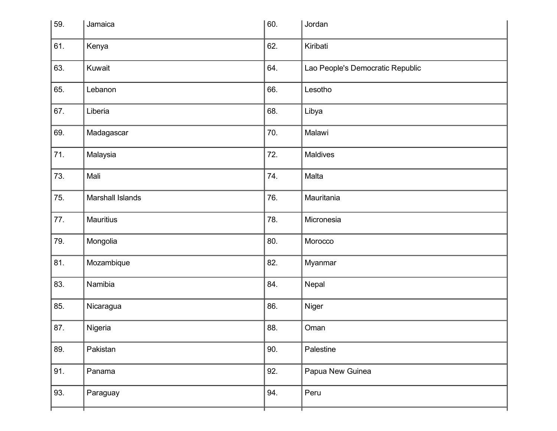| 59. | Jamaica          | 60. | Jordan                           |
|-----|------------------|-----|----------------------------------|
| 61. | Kenya            | 62. | Kiribati                         |
| 63. | Kuwait           | 64. | Lao People's Democratic Republic |
| 65. | Lebanon          | 66. | Lesotho                          |
| 67. | Liberia          | 68. | Libya                            |
| 69. | Madagascar       | 70. | Malawi                           |
| 71. | Malaysia         | 72. | Maldives                         |
| 73. | Mali             | 74. | Malta                            |
| 75. | Marshall Islands | 76. | Mauritania                       |
| 77. | <b>Mauritius</b> | 78. | Micronesia                       |
| 79. | Mongolia         | 80. | Morocco                          |
| 81. | Mozambique       | 82. | Myanmar                          |
| 83. | Namibia          | 84. | Nepal                            |
| 85. | Nicaragua        | 86. | Niger                            |
| 87. | Nigeria          | 88. | Oman                             |
| 89. | Pakistan         | 90. | Palestine                        |
| 91. | Panama           | 92. | Papua New Guinea                 |
| 93. | Paraguay         | 94. | Peru                             |
|     |                  |     |                                  |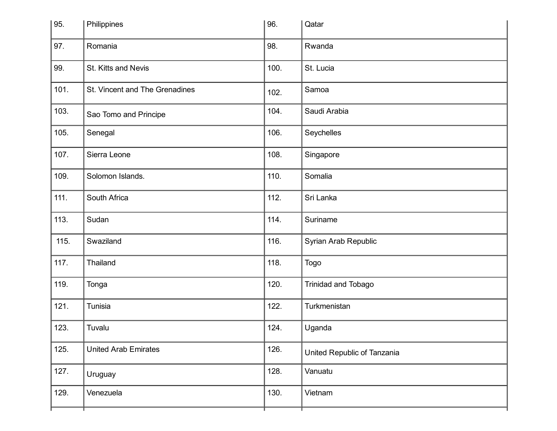| 95.  | Philippines                    | 96.  | Qatar                       |
|------|--------------------------------|------|-----------------------------|
| 97.  | Romania                        | 98.  | Rwanda                      |
| 99.  | St. Kitts and Nevis            | 100. | St. Lucia                   |
| 101. | St. Vincent and The Grenadines | 102. | Samoa                       |
| 103. | Sao Tomo and Principe          | 104. | Saudi Arabia                |
| 105. | Senegal                        | 106. | Seychelles                  |
| 107. | Sierra Leone                   | 108. | Singapore                   |
| 109. | Solomon Islands.               | 110. | Somalia                     |
| 111. | South Africa                   | 112. | Sri Lanka                   |
| 113. | Sudan                          | 114. | Suriname                    |
| 115. | Swaziland                      | 116. | Syrian Arab Republic        |
| 117. | Thailand                       | 118. | Togo                        |
| 119. | Tonga                          | 120. | Trinidad and Tobago         |
| 121. | Tunisia                        | 122. | Turkmenistan                |
| 123. | Tuvalu                         | 124. | Uganda                      |
| 125. | <b>United Arab Emirates</b>    | 126. | United Republic of Tanzania |
| 127. | Uruguay                        | 128. | Vanuatu                     |
| 129. | Venezuela                      | 130. | Vietnam                     |
|      |                                |      |                             |